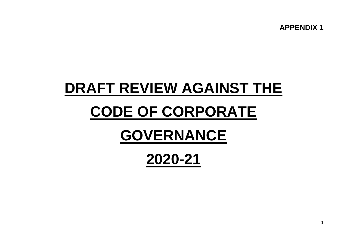**APPENDIX 1**

# **DRAFT REVIEW AGAINST THE**

## **CODE OF CORPORATE**

## **GOVERNANCE**

**2020-21**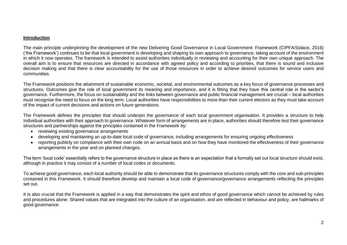### **Introduction**

The main principle underpinning the development of the new Delivering Good Governance in Local Government: Framework (CIPFA/Solace, 2016) ('the Framework') continues to be that local government is developing and shaping its own approach to governance, taking account of the environment in which it now operates. The framework is intended to assist authorities individually in reviewing and accounting for their own unique approach. The overall aim is to ensure that resources are directed in accordance with agreed policy and according to priorities, that there is sound and inclusive decision making and that there is clear accountability for the use of those resources in order to achieve desired outcomes for service users and communities.

The Framework positions the attainment of sustainable economic, societal, and environmental outcomes as a key focus of governance processes and structures. Outcomes give the role of local government its meaning and importance, and it is fitting that they have this central role in the sector's governance. Furthermore, the focus on sustainability and the links between governance and public financial management are crucial – local authorities must recognise the need to focus on the long term. Local authorities have responsibilities to more than their current electors as they must take account of the impact of current decisions and actions on future generations.

The Framework defines the principles that should underpin the governance of each local government organisation. It provides a structure to help Individual authorities with their approach to governance. Whatever form of arrangements are in place, authorities should therefore test their governance structures and partnerships against the principles contained in the Framework by:

- reviewing existing governance arrangements
- developing and maintaining an up-to-date local code of governance, including arrangements for ensuring ongoing effectiveness
- reporting publicly on compliance with their own code on an annual basis and on how they have monitored the effectiveness of their governance arrangements in the year and on planned changes.

The term 'local code' essentially refers to the governance structure in place as there is an expectation that a formally set out local structure should exist, although in practice it may consist of a number of local codes or documents.

To achieve good governance, each local authority should be able to demonstrate that its governance structures comply with the core and sub-principles contained in this Framework. It should therefore develop and maintain a local code of governance/governance arrangements reflecting the principles set out.

It is also crucial that the Framework is applied in a way that demonstrates the spirit and ethos of good governance which cannot be achieved by rules and procedures alone. Shared values that are integrated into the culture of an organisation, and are reflected in behaviour and policy, are hallmarks of good governance.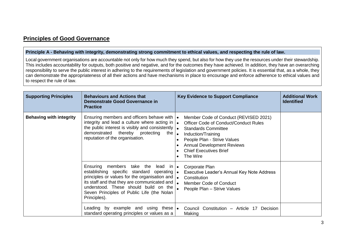## **Principles of Good Governance**

### **Principle A - Behaving with integrity, demonstrating strong commitment to ethical values, and respecting the rule of law.**

Local government organisations are accountable not only for how much they spend, but also for how they use the resources under their stewardship. This includes accountability for outputs, both positive and negative, and for the outcomes they have achieved. In addition, they have an overarching responsibility to serve the public interest in adhering to the requirements of legislation and government policies. It is essential that, as a whole, they can demonstrate the appropriateness of all their actions and have mechanisms in place to encourage and enforce adherence to ethical values and to respect the rule of law.

| <b>Supporting Principles</b>   | <b>Behaviours and Actions that</b><br><b>Demonstrate Good Governance in</b><br><b>Practice</b>                                                                                                                                                                                                                                   | <b>Key Evidence to Support Compliance</b>                                                                                                                                                                                                                  | <b>Additional Work</b><br><b>Identified</b> |
|--------------------------------|----------------------------------------------------------------------------------------------------------------------------------------------------------------------------------------------------------------------------------------------------------------------------------------------------------------------------------|------------------------------------------------------------------------------------------------------------------------------------------------------------------------------------------------------------------------------------------------------------|---------------------------------------------|
| <b>Behaving with integrity</b> | Ensuring members and officers behave with $\cdot$<br>integrity and lead a culture where acting in $\cdot$<br>the public interest is visibly and consistently $\left  \bullet \right $<br>demonstrated thereby protecting<br>the $\vert$ .<br>reputation of the organisation.                                                     | Member Code of Conduct (REVISED 2021)<br><b>Officer Code of Conduct/Conduct Rules</b><br><b>Standards Committee</b><br>Induction/Training<br>People Plan - Strive Values<br><b>Annual Development Reviews</b><br><b>Chief Executives Brief</b><br>The Wire |                                             |
|                                | Ensuring members take the lead in $\bullet$<br>establishing specific standard operating  .<br>principles or values for the organisation and  .<br>its staff and that they are communicated and $\int_{\bullet}$<br>understood. These should build on the $\vert$ .<br>Seven Principles of Public Life (the Nolan<br>Principles). | Corporate Plan<br>Executive Leader's Annual Key Note Address<br>Constitution<br><b>Member Code of Conduct</b><br>People Plan - Strive Values                                                                                                               |                                             |
|                                | Leading by example and using these $\bullet$<br>standard operating principles or values as a                                                                                                                                                                                                                                     | Council Constitution - Article 17<br>Decision<br>Making                                                                                                                                                                                                    |                                             |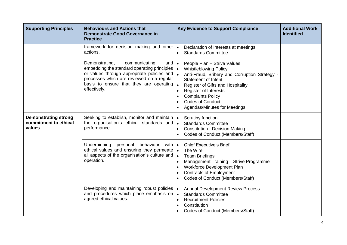| <b>Supporting Principles</b>                                   | <b>Behaviours and Actions that</b><br><b>Demonstrate Good Governance in</b><br><b>Practice</b>                                                                                                                                                    | <b>Key Evidence to Support Compliance</b>                                                                                                                                                                                                                                                                                                                  | <b>Additional Work</b><br><b>Identified</b> |
|----------------------------------------------------------------|---------------------------------------------------------------------------------------------------------------------------------------------------------------------------------------------------------------------------------------------------|------------------------------------------------------------------------------------------------------------------------------------------------------------------------------------------------------------------------------------------------------------------------------------------------------------------------------------------------------------|---------------------------------------------|
|                                                                | framework for decision making and other .<br>actions.                                                                                                                                                                                             | Declaration of Interests at meetings<br><b>Standards Committee</b><br>$\bullet$                                                                                                                                                                                                                                                                            |                                             |
|                                                                | Demonstrating,<br>communicating<br>and<br>embedding the standard operating principles  .<br>or values through appropriate policies and  .<br>processes which are reviewed on a regular<br>basis to ensure that they are operating<br>effectively. | People Plan - Strive Values<br>$\bullet$<br><b>Whistleblowing Policy</b><br>Anti-Fraud, Bribery and Corruption Strategy -<br><b>Statement of Intent</b><br>Register of Gifts and Hospitality<br><b>Register of Interests</b><br>$\bullet$<br><b>Complaints Policy</b><br>$\bullet$<br><b>Codes of Conduct</b><br>$\bullet$<br>Agendas/Minutes for Meetings |                                             |
| <b>Demonstrating strong</b><br>commitment to ethical<br>values | Seeking to establish, monitor and maintain  .<br>the organisation's ethical standards and<br>performance.                                                                                                                                         | Scrutiny function<br><b>Standards Committee</b><br>$\bullet$<br><b>Constitution - Decision Making</b><br>$\bullet$<br>Codes of Conduct (Members/Staff)                                                                                                                                                                                                     |                                             |
|                                                                | Underpinning personal behaviour<br>with<br>ethical values and ensuring they permeate $\vert \bullet \vert$<br>all aspects of the organisation's culture and<br>operation.                                                                         | <b>Chief Executive's Brief</b><br>$\bullet$<br>The Wire<br>$\bullet$<br><b>Team Briefings</b><br>Management Training - Strive Programme<br>$\bullet$<br>Workforce Development Plan<br>$\bullet$<br><b>Contracts of Employment</b><br>$\bullet$<br>Codes of Conduct (Members/Staff)                                                                         |                                             |
|                                                                | Developing and maintaining robust policies<br>and procedures which place emphasis on<br>agreed ethical values.                                                                                                                                    | <b>Annual Development Review Process</b><br><b>Standards Committee</b><br>$\bullet$<br><b>Recruitment Policies</b><br>$\bullet$<br>Constitution<br>$\bullet$<br>Codes of Conduct (Members/Staff)                                                                                                                                                           |                                             |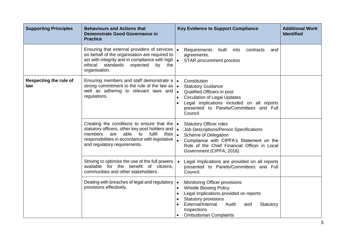| <b>Supporting Principles</b>         | <b>Behaviours and Actions that</b><br><b>Demonstrate Good Governance in</b><br><b>Practice</b>                                                                                                                                                | <b>Key Evidence to Support Compliance</b>                                                                                                                                                                                                                                                   | <b>Additional Work</b><br><b>Identified</b> |
|--------------------------------------|-----------------------------------------------------------------------------------------------------------------------------------------------------------------------------------------------------------------------------------------------|---------------------------------------------------------------------------------------------------------------------------------------------------------------------------------------------------------------------------------------------------------------------------------------------|---------------------------------------------|
|                                      | Ensuring that external providers of services  <br>on behalf of the organisation are required to<br>act with integrity and in compliance with high $\vert \bullet \vert$<br>standards<br>ethical<br>expected<br>by<br>the<br>organisation.     | Requirements<br>built<br>$\bullet$<br>into<br>contracts<br>and<br>agreements.<br>STAR procurement process                                                                                                                                                                                   |                                             |
| <b>Respecting the rule of</b><br>law | Ensuring members and staff demonstrate a<br>strong commitment to the rule of the law as $\cdot$<br>well as adhering to relevant laws and<br>regulations.                                                                                      | Constitution<br>$\bullet$<br><b>Statutory Guidance</b><br>Qualified Officers in post<br>$\bullet$<br><b>Circulation of Legal Updates</b><br>Legal implications included on all reports<br>$\bullet$<br>presented to Panels/Committees and Full<br>Council                                   |                                             |
|                                      | Creating the conditions to ensure that the $\cdot$<br>statutory officers, other key post holders and  .<br>members<br>able<br>fulfil<br>are<br>their<br>to<br>responsibilities in accordance with legislative<br>and regulatory requirements. | <b>Statutory Officer roles</b><br>Job Descriptions/Person Specifications<br>$\bullet$<br>Scheme of Delegation<br>Compliance with CIPFA's Statement on the<br>Role of the Chief Financial Officer in Local<br>Government (CIPFA, 2016)                                                       |                                             |
|                                      | Striving to optimise the use of the full powers<br>available for the benefit of citizens,<br>communities and other stakeholders.                                                                                                              | Legal Implications are provided on all reports<br>presented to Panels/Committees and Full<br>Council.                                                                                                                                                                                       |                                             |
|                                      | Dealing with breaches of legal and regulatory<br>provisions effectively.                                                                                                                                                                      | Monitoring Officer provisions<br>$\bullet$<br><b>Whistle Blowing Policy</b><br>$\bullet$<br>Legal Implications provided on reports<br>$\bullet$<br><b>Statutory provisions</b><br>$\bullet$<br>External/Internal<br>Audit<br>Statutory<br>and<br>Inspections<br><b>Ombudsman Complaints</b> |                                             |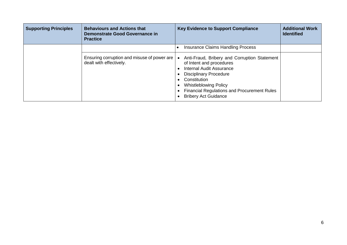| <b>Supporting Principles</b> | <b>Behaviours and Actions that</b><br>Demonstrate Good Governance in<br><b>Practice</b> | <b>Key Evidence to Support Compliance</b>                                                                                                                                                                                                                                  | <b>Additional Work</b><br><b>Identified</b> |
|------------------------------|-----------------------------------------------------------------------------------------|----------------------------------------------------------------------------------------------------------------------------------------------------------------------------------------------------------------------------------------------------------------------------|---------------------------------------------|
|                              |                                                                                         | Insurance Claims Handling Process                                                                                                                                                                                                                                          |                                             |
|                              | Ensuring corruption and misuse of power are<br>dealt with effectively.                  | Anti-Fraud, Bribery and Corruption Statement<br>of Intent and procedures<br>Internal Audit Assurance<br><b>Disciplinary Procedure</b><br>Constitution<br><b>Whistleblowing Policy</b><br><b>Financial Regulations and Procurement Rules</b><br><b>Bribery Act Guidance</b> |                                             |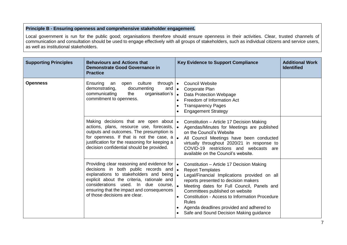## **Principle B - Ensuring openness and comprehensive stakeholder engagement.**

Local government is run for the public good; organisations therefore should ensure openness in their activities. Clear, trusted channels of communication and consultation should be used to engage effectively with all groups of stakeholders, such as individual citizens and service users, as well as institutional stakeholders.

| <b>Supporting Principles</b> | <b>Behaviours and Actions that</b><br><b>Demonstrate Good Governance in</b><br><b>Practice</b>                                                                                                                                                                                                                              | <b>Key Evidence to Support Compliance</b>                                                                                                                                                                                                                                                                                                                                                       | <b>Additional Work</b><br><b>Identified</b> |
|------------------------------|-----------------------------------------------------------------------------------------------------------------------------------------------------------------------------------------------------------------------------------------------------------------------------------------------------------------------------|-------------------------------------------------------------------------------------------------------------------------------------------------------------------------------------------------------------------------------------------------------------------------------------------------------------------------------------------------------------------------------------------------|---------------------------------------------|
| <b>Openness</b>              | culture<br>Ensuring<br>through $\bullet$<br>an<br>open<br>demonstrating,<br>documenting<br>and $\bullet$<br>organisation's<br>communicating<br>the<br>commitment to openness.                                                                                                                                               | <b>Council Website</b><br>Corporate Plan<br>Data Protection Webpage<br>$\bullet$<br>Freedom of Information Act<br><b>Transparency Pages</b><br><b>Engagement Strategy</b>                                                                                                                                                                                                                       |                                             |
|                              | Making decisions that are open about $\bullet$<br>actions, plans, resource use, forecasts, <b>.</b><br>outputs and outcomes. The presumption is<br>for openness. If that is not the case, a $\vert$ .<br>justification for the reasoning for keeping a<br>decision confidential should be provided.                         | Constitution - Article 17 Decision Making<br>Agendas/Minutes for Meetings are published<br>on the Council's Website<br>All Council Meetings have been conducted<br>virtually throughout 2020/21 in response to<br>COVID-19 restrictions and webcasts are<br>available on the Council's website.                                                                                                 |                                             |
|                              | Providing clear reasoning and evidence for $\cdot$<br>decisions in both public records and $\bullet$<br>explanations to stakeholders and being $\bullet$<br>explicit about the criteria, rationale and<br>considerations used. In due course,<br>ensuring that the impact and consequences<br>of those decisions are clear. | Constitution - Article 17 Decision Making<br><b>Report Templates</b><br>Legal/Financial Implications provided on all<br>reports presented to decision makers<br>Meeting dates for Full Council, Panels and<br>Committees published on website<br>Constitution - Access to Information Procedure<br>Rules<br>Agenda deadlines provided and adhered to<br>Safe and Sound Decision Making guidance |                                             |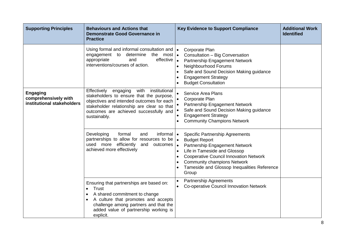| <b>Supporting Principles</b>                                          | <b>Behaviours and Actions that</b><br><b>Demonstrate Good Governance in</b><br><b>Practice</b>                                                                                                                                                    | <b>Key Evidence to Support Compliance</b>                                                                                                                                                                                                                                                                                                        | <b>Additional Work</b><br><b>Identified</b> |
|-----------------------------------------------------------------------|---------------------------------------------------------------------------------------------------------------------------------------------------------------------------------------------------------------------------------------------------|--------------------------------------------------------------------------------------------------------------------------------------------------------------------------------------------------------------------------------------------------------------------------------------------------------------------------------------------------|---------------------------------------------|
|                                                                       | Using formal and informal consultation and  .<br>engagement to<br>determine<br>the most $\vert \bullet \vert$<br>effective $\vert$ .<br>appropriate<br>and<br>interventions/courses of action.                                                    | Corporate Plan<br>Consultation - Big Conversation<br>Partnership Engagement Network<br>Neighbourhood Forums<br>$\bullet$<br>Safe and Sound Decision Making guidance<br><b>Engagement Strategy</b><br><b>Budget Consultation</b>                                                                                                                  |                                             |
| <b>Engaging</b><br>comprehensively with<br>institutional stakeholders | with<br>institutional<br>Effectively<br>engaging<br>stakeholders to ensure that the purpose,<br>objectives and intended outcomes for each<br>stakeholder relationship are clear so that<br>outcomes are achieved successfully and<br>sustainably. | <b>Service Area Plans</b><br>Corporate Plan<br>Partnership Engagement Network<br>Safe and Sound Decision Making guidance<br><b>Engagement Strategy</b><br>$\bullet$<br><b>Community Champions Network</b>                                                                                                                                        |                                             |
|                                                                       | Developing<br>informal   •<br>formal<br>and<br>partnerships to allow for resources to be $\bullet$<br>used more efficiently<br>and<br>outcomes<br>achieved more effectively                                                                       | <b>Specific Partnership Agreements</b><br><b>Budget Report</b><br>Partnership Engagement Network<br>$\bullet$<br>Life in Tameside and Glossop<br>$\bullet$<br><b>Cooperative Council Innovation Network</b><br>$\bullet$<br><b>Community champions Network</b><br>$\bullet$<br>Tameside and Glossop Inequalities Reference<br>$\bullet$<br>Group |                                             |
|                                                                       | Ensuring that partnerships are based on:<br>Trust<br>A shared commitment to change<br>A culture that promotes and accepts<br>challenge among partners and that the<br>added value of partnership working is<br>explicit.                          | <b>Partnership Agreements</b><br>$\bullet$<br>Co-operative Council Innovation Network<br>$\bullet$                                                                                                                                                                                                                                               |                                             |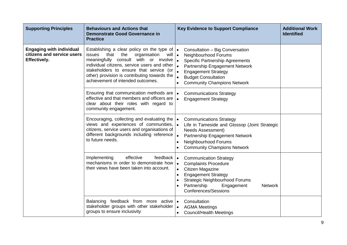| <b>Supporting Principles</b>                                                         | <b>Behaviours and Actions that</b><br><b>Demonstrate Good Governance in</b><br><b>Practice</b>                                                                                                                                                                                                                                                              | <b>Key Evidence to Support Compliance</b>                                                                                                                                                                                                                                                              | <b>Additional Work</b><br><b>Identified</b> |
|--------------------------------------------------------------------------------------|-------------------------------------------------------------------------------------------------------------------------------------------------------------------------------------------------------------------------------------------------------------------------------------------------------------------------------------------------------------|--------------------------------------------------------------------------------------------------------------------------------------------------------------------------------------------------------------------------------------------------------------------------------------------------------|---------------------------------------------|
| <b>Engaging with individual</b><br>citizens and service users<br><b>Effectively.</b> | Establishing a clear policy on the type of $\bullet$<br>that<br>the<br>organisation<br>issues<br>will •<br>meaningfully consult with or involve $\vert$ .<br>individual citizens, service users and other $\vert_{\bullet}$<br>stakeholders to ensure that service (or<br>other) provision is contributing towards the<br>achievement of intended outcomes. | Consultation - Big Conversation<br>Neighbourhood Forums<br><b>Specific Partnership Agreements</b><br>Partnership Engagement Network<br><b>Engagement Strategy</b><br><b>Budget Consultation</b><br>$\bullet$<br><b>Community Champions Network</b><br>$\bullet$                                        |                                             |
|                                                                                      | Ensuring that communication methods are  .<br>effective and that members and officers are<br>clear about their roles with regard to<br>community engagement.                                                                                                                                                                                                | <b>Communications Strategy</b><br><b>Engagement Strategy</b>                                                                                                                                                                                                                                           |                                             |
|                                                                                      | Encouraging, collecting and evaluating the $\cdot$<br>views and experiences of communities, $\bullet$<br>citizens, service users and organisations of<br>different backgrounds including reference<br>to future needs.                                                                                                                                      | <b>Communications Strategy</b><br>Life in Tameside and Glossop (Joint Strategic<br>Needs Assessment)<br>Partnership Engagement Network<br>$\bullet$<br>Neighbourhood Forums<br>$\bullet$<br><b>Community Champions Network</b><br>$\bullet$                                                            |                                             |
|                                                                                      | effective<br>Implementing<br>feedback $\vert \bullet \vert$<br>mechanisms in order to demonstrate how<br>their views have been taken into account.                                                                                                                                                                                                          | <b>Communication Strategy</b><br><b>Complaints Procedure</b><br>$\bullet$<br>Citizen Magazine<br>$\bullet$<br><b>Engagement Strategy</b><br>$\bullet$<br><b>Strategic Neighbourhood Forums</b><br>$\bullet$<br>Partnership<br>Engagement<br><b>Network</b><br>$\bullet$<br><b>Conferences/Sessions</b> |                                             |
|                                                                                      | Balancing feedback from more active .<br>stakeholder groups with other stakeholder  .<br>groups to ensure inclusivity                                                                                                                                                                                                                                       | Consultation<br><b>AGMA Meetings</b><br><b>Council/Health Meetings</b>                                                                                                                                                                                                                                 |                                             |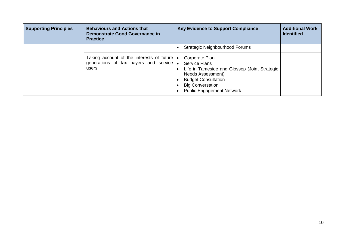| <b>Supporting Principles</b> | <b>Behaviours and Actions that</b><br>Demonstrate Good Governance in<br><b>Practice</b>                        | <b>Key Evidence to Support Compliance</b>                                                                                                                                                                 | <b>Additional Work</b><br><b>Identified</b> |
|------------------------------|----------------------------------------------------------------------------------------------------------------|-----------------------------------------------------------------------------------------------------------------------------------------------------------------------------------------------------------|---------------------------------------------|
|                              |                                                                                                                | Strategic Neighbourhood Forums                                                                                                                                                                            |                                             |
|                              | Taking account of the interests of future $\cdot$<br>generations of tax payers and service $\bullet$<br>users. | Corporate Plan<br><b>Service Plans</b><br>Life in Tameside and Glossop (Joint Strategic<br>Needs Assessment)<br><b>Budget Consultation</b><br><b>Big Conversation</b><br><b>Public Engagement Network</b> |                                             |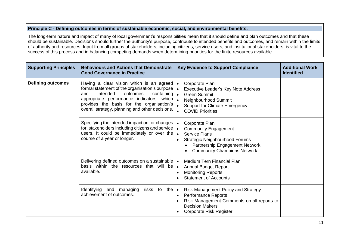## **Principle C - Defining outcomes in terms of sustainable economic, social, and environmental benefits.**

The long-term nature and impact of many of local government's responsibilities mean that it should define and plan outcomes and that these should be sustainable. Decisions should further the authority's purpose, contribute to intended benefits and outcomes, and remain within the limits of authority and resources. Input from all groups of stakeholders, including citizens, service users, and institutional stakeholders, is vital to the success of this process and in balancing competing demands when determining priorities for the finite resources available.

| <b>Supporting Principles</b> | <b>Behaviours and Actions that Demonstrate</b><br><b>Good Governance in Practice</b>                                                                                                                                                                                                            | <b>Key Evidence to Support Compliance</b>                                                                                                                                                           | <b>Additional Work</b><br><b>Identified</b> |
|------------------------------|-------------------------------------------------------------------------------------------------------------------------------------------------------------------------------------------------------------------------------------------------------------------------------------------------|-----------------------------------------------------------------------------------------------------------------------------------------------------------------------------------------------------|---------------------------------------------|
| <b>Defining outcomes</b>     | Having a clear vision which is an agreed $\cdot$<br>formal statement of the organisation's purpose  .<br>intended<br>and<br>outcomes<br>containing<br>appropriate performance indicators, which<br>provides the basis for the organisation's<br>overall strategy, planning and other decisions. | Corporate Plan<br>Executive Leader's Key Note Address<br>$\bullet$<br><b>Green Summit</b><br>Neighbourhood Summit<br>$\bullet$<br><b>Support for Climate Emergency</b><br><b>COVID Priorities</b>   |                                             |
|                              | Specifying the intended impact on, or changes $\cdot$<br>for, stakeholders including citizens and service<br>users. It could be immediately or over the<br>course of a year or longer.                                                                                                          | Corporate Plan<br><b>Community Engagement</b><br><b>Service Plans</b><br>$\bullet$<br><b>Strategic Neighbourhood Forums</b><br>Partnership Engagement Network<br><b>Community Champions Network</b> |                                             |
|                              | Delivering defined outcomes on a sustainable   •<br>basis within the resources that will be $\bullet$<br>available.                                                                                                                                                                             | <b>Medium Tern Financial Plan</b><br><b>Annual Budget Report</b><br><b>Monitoring Reports</b><br><b>Statement of Accounts</b>                                                                       |                                             |
|                              | Identifying and managing<br>risks to<br>the $\vert \bullet \vert$<br>achievement of outcomes.                                                                                                                                                                                                   | <b>Risk Management Policy and Strategy</b><br>Performance Reports<br>$\bullet$<br>Risk Management Comments on all reports to<br><b>Decision Makers</b><br><b>Corporate Risk Register</b>            |                                             |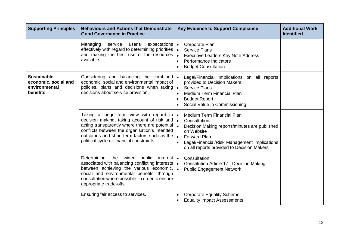| <b>Supporting Principles</b>                                                   | <b>Behaviours and Actions that Demonstrate</b><br><b>Good Governance in Practice</b>                                                                                                                                                                                                                              | <b>Key Evidence to Support Compliance</b>                                                                                                                                                                                                                                            | <b>Additional Work</b><br><b>Identified</b> |
|--------------------------------------------------------------------------------|-------------------------------------------------------------------------------------------------------------------------------------------------------------------------------------------------------------------------------------------------------------------------------------------------------------------|--------------------------------------------------------------------------------------------------------------------------------------------------------------------------------------------------------------------------------------------------------------------------------------|---------------------------------------------|
|                                                                                | Managing<br>service<br>user's<br>expectations $\vert \bullet \vert$<br>effectively with regard to determining priorities  .<br>and making the best use of the resources<br>available.                                                                                                                             | Corporate Plan<br><b>Service Plans</b><br>$\bullet$<br><b>Executive Leaders Key Note Address</b><br>Performance Indicators<br>$\bullet$<br><b>Budget Consultation</b><br>$\bullet$                                                                                                   |                                             |
| <b>Sustainable</b><br>economic, social and<br>environmental<br><b>benefits</b> | Considering and balancing the combined  .<br>economic, social and environmental impact of<br>policies, plans and decisions when taking<br>decisions about service provision.                                                                                                                                      | Legal/Financial Implications on all reports<br>provided to Decision Makers<br><b>Service Plans</b><br>$\bullet$<br>Medium Term Financial Plan<br>$\bullet$<br><b>Budget Report</b><br>Social Value in Commissioning                                                                  |                                             |
|                                                                                | Taking a longer-term view with regard to $\bullet$<br>decision making, taking account of risk and<br>acting transparently where there are potential $\left  \right.$<br>conflicts between the organisation's intended<br>outcomes and short-term factors such as the<br>political cycle or financial constraints. | Medium Term Financial Plan<br>$\overline{\phantom{a}}$<br>Consultation<br>Decision Making reports/minutes are published<br>on Website<br>$\bullet$<br><b>Forward Plan</b><br>Legal/Financial/Risk Management Implications<br>$\bullet$<br>on all reports provided to Decision Makers |                                             |
|                                                                                | Determining the wider public<br>interest   •<br>associated with balancing conflicting interests  .<br>between achieving the various economic,<br>social and environmental benefits, through<br>consultation where possible, in order to ensure<br>appropriate trade-offs.                                         | Consultation<br>Constitution Article 17 - Decision Making<br><b>Public Engagement Network</b><br>$\bullet$                                                                                                                                                                           |                                             |
|                                                                                | Ensuring fair access to services.                                                                                                                                                                                                                                                                                 | <b>Corporate Equality Scheme</b><br>$\bullet$<br><b>Equality Impact Assessments</b>                                                                                                                                                                                                  |                                             |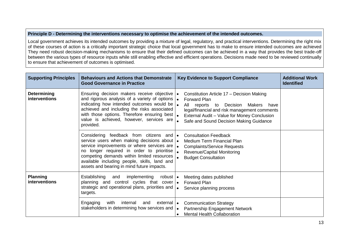#### **Principle D - Determining the interventions necessary to optimise the achievement of the intended outcomes.**

Local government achieves its intended outcomes by providing a mixture of legal, regulatory, and practical interventions. Determining the right mix of these courses of action is a critically important strategic choice that local government has to make to ensure intended outcomes are achieved They need robust decision-making mechanisms to ensure that their defined outcomes can be achieved in a way that provides the best trade-off between the various types of resource inputs while still enabling effective and efficient operations. Decisions made need to be reviewed continually to ensure that achievement of outcomes is optimised.

| <b>Supporting Principles</b>               | <b>Behaviours and Actions that Demonstrate</b><br><b>Good Governance in Practice</b>                                                                                                                                                                                                                                                      | <b>Key Evidence to Support Compliance</b>                                                                                                                                                                                                                                               | <b>Additional Work</b><br><b>Identified</b> |
|--------------------------------------------|-------------------------------------------------------------------------------------------------------------------------------------------------------------------------------------------------------------------------------------------------------------------------------------------------------------------------------------------|-----------------------------------------------------------------------------------------------------------------------------------------------------------------------------------------------------------------------------------------------------------------------------------------|---------------------------------------------|
| <b>Determining</b><br><b>interventions</b> | Ensuring decision makers receive objective<br>and rigorous analysis of a variety of options<br>indicating how intended outcomes would be<br>achieved and including the risks associated<br>with those options. Therefore ensuring best  <br>value is achieved, however, services are<br>provided.                                         | Constitution Article 17 - Decision Making<br><b>Forward Plan</b><br>$\bullet$<br>$\bullet$<br>All<br>Decision<br>reports to<br>Makers<br>have<br>legal/financial and risk management comments<br>External Audit - Value for Money Conclusion<br>Safe and Sound Decision Making Guidance |                                             |
|                                            | Considering feedback from citizens and <b>.</b><br>service users when making decisions about  .<br>service improvements or where services are<br>longer required in order to prioritise<br>no<br>competing demands within limited resources<br>available including people, skills, land and<br>assets and bearing in mind future impacts. | <b>Consultation Feedback</b><br><b>Medium Term Financial Plan</b><br><b>Complaints/Service Requests</b><br>$\bullet$<br>Revenue/Capital Monitoring<br><b>Budget Consultation</b>                                                                                                        |                                             |
| <b>Planning</b><br>interventions           | Establishing<br>implementing<br>robust $\cdot$<br>and<br>planning and control cycles that cover $\bullet$<br>strategic and operational plans, priorities and<br>targets.                                                                                                                                                                  | Meeting dates published<br><b>Forward Plan</b><br>Service planning process<br>$\bullet$                                                                                                                                                                                                 |                                             |
|                                            | Engaging<br>with<br>internal<br>external $\vert \bullet \vert$<br>and<br>stakeholders in determining how services and                                                                                                                                                                                                                     | <b>Communication Strategy</b><br>Partnership Engagement Network<br>$\bullet$<br><b>Mental Health Collaboration</b>                                                                                                                                                                      |                                             |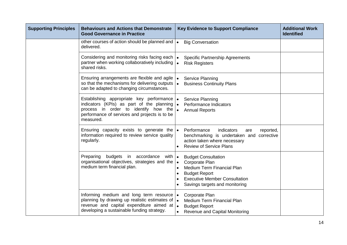| <b>Supporting Principles</b> | <b>Behaviours and Actions that Demonstrate</b><br><b>Good Governance in Practice</b>                                                                                                                           | <b>Key Evidence to Support Compliance</b>                                                                                                                                    | <b>Additional Work</b><br><b>Identified</b> |
|------------------------------|----------------------------------------------------------------------------------------------------------------------------------------------------------------------------------------------------------------|------------------------------------------------------------------------------------------------------------------------------------------------------------------------------|---------------------------------------------|
|                              | other courses of action should be planned and $\cdot$<br>delivered.                                                                                                                                            | <b>Big Conversation</b>                                                                                                                                                      |                                             |
|                              | Considering and monitoring risks facing each  .<br>partner when working collaboratively including<br>shared risks.                                                                                             | <b>Specific Partnership Agreements</b><br><b>Risk Registers</b><br>$\bullet$                                                                                                 |                                             |
|                              | Ensuring arrangements are flexible and agile<br>so that the mechanisms for delivering outputs<br>can be adapted to changing circumstances.                                                                     | Service Planning<br>$\bullet$<br>$\bullet$<br><b>Business Continuity Plans</b>                                                                                               |                                             |
|                              | Establishing appropriate key performance<br>indicators (KPIs) as part of the planning<br>process in order to identify how the<br>performance of services and projects is to be<br>measured.                    | Service Planning<br>$\bullet$<br>Performance Indicators<br>$\bullet$<br><b>Annual Reports</b>                                                                                |                                             |
|                              | Ensuring capacity exists to generate the $\cdot$<br>information required to review service quality<br>regularly.                                                                                               | Performance<br>indicators<br>reported,<br>are<br>benchmarking is undertaken and corrective<br>action taken where necessary<br><b>Review of Service Plans</b>                 |                                             |
|                              | budgets in accordance<br>Preparing<br>with  ●<br>organisational objectives, strategies and the $\vert \bullet \vert$<br>medium term financial plan.                                                            | <b>Budget Consultation</b><br>Corporate Plan<br>Medium Term Financial Plan<br><b>Budget Report</b><br><b>Executive Member Consultation</b><br>Savings targets and monitoring |                                             |
|                              | Informing medium and long term resource $\cdot$<br>planning by drawing up realistic estimates of $\bullet$<br>revenue and capital expenditure aimed at $\bullet$<br>developing a sustainable funding strategy. | Corporate Plan<br>Medium Term Financial Plan<br><b>Budget Report</b><br><b>Revenue and Capital Monitoring</b>                                                                |                                             |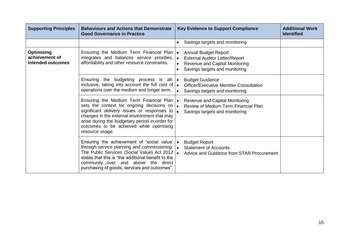| <b>Supporting Principles</b>                             | <b>Behaviours and Actions that Demonstrate</b><br><b>Good Governance in Practice</b>                                                                                                                                                                                                                       | <b>Key Evidence to Support Compliance</b><br><b>Additional Work</b><br><b>Identified</b>                                                                           |
|----------------------------------------------------------|------------------------------------------------------------------------------------------------------------------------------------------------------------------------------------------------------------------------------------------------------------------------------------------------------------|--------------------------------------------------------------------------------------------------------------------------------------------------------------------|
|                                                          |                                                                                                                                                                                                                                                                                                            | Savings targets and monitoring                                                                                                                                     |
| <b>Optimising</b><br>achievement of<br>intended outcomes | Ensuring the Medium Term Financial Plan  .<br>integrates and balances service priorities,<br>affordability and other resource constraints.                                                                                                                                                                 | <b>Annual Budget Report</b><br><b>External Auditor Letter/Report</b><br>$\bullet$<br>Revenue and Capital Monitoring<br>$\bullet$<br>Savings targets and monitoring |
|                                                          | Ensuring the budgeting process is all- $\vert \bullet \vert$<br>inclusive, taking into account the full cost of $\bullet$<br>operations over the medium and longer term.                                                                                                                                   | <b>Budget Guidance</b><br><b>Officer/Executive Member Consultation</b><br>Savings targets and monitoring<br>$\bullet$                                              |
|                                                          | Ensuring the Medium Term Financial Plan  .<br>sets the context for ongoing decisions on  .<br>significant delivery issues or responses to<br>changes in the external environment that may<br>arise during the budgetary period in order for<br>outcomes to be achieved while optimising<br>resource usage. | <b>Revenue and Capital Monitoring</b><br>Review of Medium Term Financial Plan<br>Savings targets and monitoring                                                    |
|                                                          | Ensuring the achievement of 'social value'  .<br>through service planning and commissioning. $\bullet$<br>The Public Services (Social Value) Act 2012<br>states that this is "the additional benefit to the<br>communityover and above the direct<br>purchasing of goods, services and outcomes".          | <b>Budget Report</b><br><b>Statement of Accounts</b><br>Advice and Guidance from STAR Procurement                                                                  |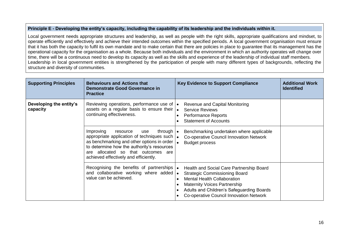## **Principle E - Developing the entity's capacity, including the capability of its leadership and the individuals within it.**

Local government needs appropriate structures and leadership, as well as people with the right skills, appropriate qualifications and mindset, to operate efficiently and effectively and achieve their intended outcomes within the specified periods. A local government organisation must ensure that it has both the capacity to fulfil its own mandate and to make certain that there are policies in place to guarantee that its management has the operational capacity for the organisation as a whole. Because both individuals and the environment in which an authority operates will change over time, there will be a continuous need to develop its capacity as well as the skills and experience of the leadership of individual staff members. Leadership in local government entities is strengthened by the participation of people with many different types of backgrounds, reflecting the structure and diversity of communities.

| <b>Supporting Principles</b>        | <b>Behaviours and Actions that</b><br><b>Demonstrate Good Governance in</b><br><b>Practice</b>                                                                                                                                                                                                 | <b>Key Evidence to Support Compliance</b>                                                                                                                                                                                                             | <b>Additional Work</b><br><b>Identified</b> |
|-------------------------------------|------------------------------------------------------------------------------------------------------------------------------------------------------------------------------------------------------------------------------------------------------------------------------------------------|-------------------------------------------------------------------------------------------------------------------------------------------------------------------------------------------------------------------------------------------------------|---------------------------------------------|
| Developing the entity's<br>capacity | Reviewing operations, performance use of $\cdot$<br>assets on a regular basis to ensure their $\mathbf{I}_{\bullet}$<br>continuing effectiveness.                                                                                                                                              | Revenue and Capital Monitoring<br><b>Service Reviews</b><br><b>Performance Reports</b><br><b>Statement of Accounts</b>                                                                                                                                |                                             |
|                                     | Improving<br>through $\cdot$<br>resource<br>use<br>appropriate application of techniques such $\vert \bullet \vert$<br>as benchmarking and other options in order<br>to determine how the authority's resources<br>are allocated so that outcomes are<br>achieved effectively and efficiently. | Benchmarking undertaken where applicable<br><b>Co-operative Council Innovation Network</b><br><b>Budget process</b>                                                                                                                                   |                                             |
|                                     | Recognising the benefits of partnerships $\cdot$<br>and collaborative working where added  .<br>value can be achieved.                                                                                                                                                                         | Health and Social Care Partnership Board<br><b>Strategic Commissioning Board</b><br><b>Mental Health Collaboration</b><br><b>Maternity Voices Partnership</b><br>Adults and Children's Safeguarding Boards<br>Co-operative Council Innovation Network |                                             |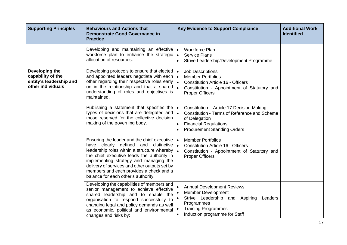| <b>Supporting Principles</b>                                                        | <b>Behaviours and Actions that</b><br><b>Demonstrate Good Governance in</b><br><b>Practice</b>                                                                                                                                                                                                                                                                                              | <b>Key Evidence to Support Compliance</b>                                                                                                                                                                                            | <b>Additional Work</b><br><b>Identified</b> |
|-------------------------------------------------------------------------------------|---------------------------------------------------------------------------------------------------------------------------------------------------------------------------------------------------------------------------------------------------------------------------------------------------------------------------------------------------------------------------------------------|--------------------------------------------------------------------------------------------------------------------------------------------------------------------------------------------------------------------------------------|---------------------------------------------|
|                                                                                     | Developing and maintaining an effective  .<br>workforce plan to enhance the strategic $\bullet$<br>allocation of resources.                                                                                                                                                                                                                                                                 | <b>Workforce Plan</b><br><b>Service Plans</b><br>Strive Leadership/Development Programme<br>$\bullet$                                                                                                                                |                                             |
| Developing the<br>capability of the<br>entity's leadership and<br>other individuals | Developing protocols to ensure that elected  .<br>and appointed leaders negotiate with each $\bullet$<br>other regarding their respective roles early<br>on in the relationship and that a shared<br>understanding of roles and objectives is<br>maintained.                                                                                                                                | <b>Job Descriptions</b><br><b>Member Portfolios</b><br>$\bullet$<br><b>Constitution Article 16 - Officers</b><br>$\bullet$<br>Constitution - Appointment of Statutory and<br><b>Proper Officers</b>                                  |                                             |
|                                                                                     | Publishing a statement that specifies the<br>types of decisions that are delegated and<br>those reserved for the collective decision<br>making of the governing body.                                                                                                                                                                                                                       | Constitution - Article 17 Decision Making<br>$\bullet$<br>$\bullet$<br>Constitution - Terms of Reference and Scheme<br>of Delegation<br><b>Financial Regulations</b><br>$\bullet$<br><b>Procurement Standing Orders</b><br>$\bullet$ |                                             |
|                                                                                     | Ensuring the leader and the chief executive $\cdot$<br>have clearly defined and distinctive<br>leadership roles within a structure whereby $\vert \bullet \vert$<br>the chief executive leads the authority in<br>implementing strategy and managing the<br>delivery of services and other outputs set by<br>members and each provides a check and a<br>balance for each other's authority. | <b>Member Portfolios</b><br>۱.<br><b>Constitution Article 16 - Officers</b><br>Constitution - Appointment of Statutory and<br><b>Proper Officers</b>                                                                                 |                                             |
|                                                                                     | Developing the capabilities of members and<br>senior management to achieve effective<br>shared leadership and to enable the<br>organisation to respond successfully to<br>changing legal and policy demands as well<br>as economic, political and environmental<br>changes and risks by:                                                                                                    | <b>Annual Development Reviews</b><br>Member Development<br>Strive Leadership and Aspiring<br>Leaders<br>Programmes<br><b>Training Programmes</b><br>Induction programme for Staff<br>$\bullet$                                       |                                             |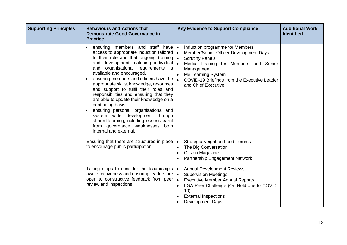| <b>Supporting Principles</b> | <b>Behaviours and Actions that</b><br><b>Demonstrate Good Governance in</b><br><b>Practice</b>                                                                                                                                                                                                                                                                                                                                                                                                                                                                                                                                                                                                 | <b>Key Evidence to Support Compliance</b>                                                                                                                                                                                                                            | <b>Additional Work</b><br><b>Identified</b> |
|------------------------------|------------------------------------------------------------------------------------------------------------------------------------------------------------------------------------------------------------------------------------------------------------------------------------------------------------------------------------------------------------------------------------------------------------------------------------------------------------------------------------------------------------------------------------------------------------------------------------------------------------------------------------------------------------------------------------------------|----------------------------------------------------------------------------------------------------------------------------------------------------------------------------------------------------------------------------------------------------------------------|---------------------------------------------|
|                              | ensuring members and staff have $\bullet$<br>access to appropriate induction tailored  .<br>to their role and that ongoing training<br>and development matching individual $\int_{\bullet}$<br>and organisational requirements is<br>available and encouraged.<br>ensuring members and officers have the<br>appropriate skills, knowledge, resources<br>and support to fulfil their roles and<br>responsibilities and ensuring that they<br>are able to update their knowledge on a<br>continuing basis.<br>ensuring personal, organisational and<br>system wide development through<br>shared learning, including lessons learnt<br>from governance weaknesses both<br>internal and external. | Induction programme for Members<br>Member/Senior Officer Development Days<br><b>Scrutiny Panels</b><br>$\bullet$<br>Media Training for Members and Senior<br>Management<br>Me Learning System<br>COVID-19 Briefings from the Executive Leader<br>and Chief Executive |                                             |
|                              | Ensuring that there are structures in place<br>to encourage public participation.                                                                                                                                                                                                                                                                                                                                                                                                                                                                                                                                                                                                              | <b>Strategic Neighbourhood Forums</b><br>$\bullet$<br>The Big Conversation<br>Citizen Magazine<br>Partnership Engagement Network                                                                                                                                     |                                             |
|                              | Taking steps to consider the leadership's $\cdot$<br>own effectiveness and ensuring leaders are<br>open to constructive feedback from peer<br>review and inspections.                                                                                                                                                                                                                                                                                                                                                                                                                                                                                                                          | <b>Annual Development Reviews</b><br><b>Supervision Meetings</b><br>$\bullet$<br><b>Executive Member Annual Reports</b><br>$\bullet$<br>LGA Peer Challenge (On Hold due to COVID-<br>19)<br><b>External Inspections</b><br><b>Development Days</b>                   |                                             |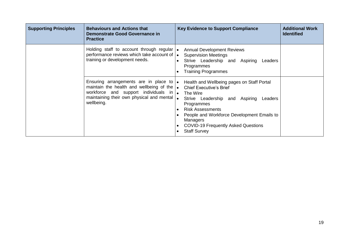| <b>Supporting Principles</b> | <b>Behaviours and Actions that</b><br>Demonstrate Good Governance in<br><b>Practice</b>                                                                                                                                           | <b>Key Evidence to Support Compliance</b>                                                                                                                                                                                                                                                                                  | <b>Additional Work</b><br><b>Identified</b> |
|------------------------------|-----------------------------------------------------------------------------------------------------------------------------------------------------------------------------------------------------------------------------------|----------------------------------------------------------------------------------------------------------------------------------------------------------------------------------------------------------------------------------------------------------------------------------------------------------------------------|---------------------------------------------|
|                              | Holding staff to account through regular $\bullet$<br>performance reviews which take account of $\mathbf{I}$ .<br>training or development needs.                                                                                  | <b>Annual Development Reviews</b><br><b>Supervision Meetings</b><br>Strive Leadership and Aspiring<br>Leaders<br>Programmes<br><b>Training Programmes</b>                                                                                                                                                                  |                                             |
|                              | Ensuring arrangements are in place to $\bullet$<br>maintain the health and wellbeing of the $\bullet$<br>workforce and support individuals in $\left  \bullet \right $<br>maintaining their own physical and mental<br>wellbeing. | Health and Wellbeing pages on Staff Portal<br><b>Chief Executive's Brief</b><br>The Wire<br>$\bullet$<br>Strive Leadership and Aspiring<br>Leaders<br>Programmes<br><b>Risk Assessments</b><br>People and Workforce Development Emails to<br>Managers<br><b>COVID-19 Frequently Asked Questions</b><br><b>Staff Survey</b> |                                             |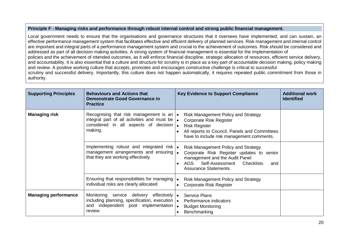## **Principle F - Managing risks and performance through robust internal control and strong public financial management.**

Local government needs to ensure that the organisations and governance structures that it oversees have implemented, and can sustain, an effective performance management system that facilitates effective and efficient delivery of planned services. Risk management and internal control are important and integral parts of a performance management system and crucial to the achievement of outcomes. Risk should be considered and addressed as part of all decision making activities. A strong system of financial management is essential for the implementation of policies and the achievement of intended outcomes, as it will enforce financial discipline, strategic allocation of resources, efficient service delivery, and accountability. It is also essential that a culture and structure for scrutiny is in place as a key part of accountable decision making, policy making and review. A positive working culture that accepts, promotes and encourages constructive challenge is critical to successful scrutiny and successful delivery. Importantly, this culture does not happen automatically, it requires repeated public commitment from those in authority.

| <b>Supporting Principles</b> | <b>Behaviours and Actions that</b><br><b>Demonstrate Good Governance in</b><br><b>Practice</b>                                                                                                           | <b>Key Evidence to Support Compliance</b>                                                                                                                                                                            | <b>Additional work</b><br><b>Identified</b> |
|------------------------------|----------------------------------------------------------------------------------------------------------------------------------------------------------------------------------------------------------|----------------------------------------------------------------------------------------------------------------------------------------------------------------------------------------------------------------------|---------------------------------------------|
| <b>Managing risk</b>         | Recognising that risk management is an $\cdot$<br>integral part of all activities and must be $\left  \bullet \right $<br>considered in all aspects of decision $\bullet$<br>making.                     | <b>Risk Management Policy and Strategy</b><br><b>Corporate Risk Register</b><br><b>Risk Register</b><br>All reports to Council, Panels and Committees<br>have to include risk management comments.                   |                                             |
|                              | Implementing robust and integrated risk $\bullet$<br>management arrangements and ensuring $\bullet$<br>that they are working effectively.                                                                | <b>Risk Management Policy and Strategy</b><br>Corporate Risk Register updates to senior<br>management and the Audit Panel<br>Self-Assessment<br>AGS<br>Checklists<br>and<br>$\bullet$<br><b>Assurance Statements</b> |                                             |
|                              | Ensuring that responsibilities for managing<br>individual risks are clearly allocated                                                                                                                    | <b>Risk Management Policy and Strategy</b><br>$\bullet$<br><b>Corporate Risk Register</b>                                                                                                                            |                                             |
| <b>Managing performance</b>  | Monitoring service delivery<br>effectively $\vert \bullet \vert$<br>including planning, specification, execution $\mathbf{I}$ .<br>and independent post implementation $\left  \right\rangle$<br>review. | <b>Service Plans</b><br>Performance indicators<br><b>Budget Monitoring</b><br>Benchmarking                                                                                                                           |                                             |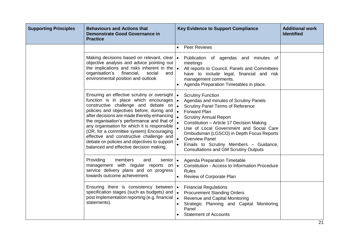| <b>Supporting Principles</b> | <b>Behaviours and Actions that</b><br><b>Demonstrate Good Governance in</b><br><b>Practice</b>                                                                                                                                                                                                                                                                                                                                                                                                                         | <b>Key Evidence to Support Compliance</b><br><b>Additional work</b><br><b>Identified</b>                                                                                                                                                                                                                                                                                                                                                                |
|------------------------------|------------------------------------------------------------------------------------------------------------------------------------------------------------------------------------------------------------------------------------------------------------------------------------------------------------------------------------------------------------------------------------------------------------------------------------------------------------------------------------------------------------------------|---------------------------------------------------------------------------------------------------------------------------------------------------------------------------------------------------------------------------------------------------------------------------------------------------------------------------------------------------------------------------------------------------------------------------------------------------------|
|                              |                                                                                                                                                                                                                                                                                                                                                                                                                                                                                                                        | <b>Peer Reviews</b><br>$\bullet$                                                                                                                                                                                                                                                                                                                                                                                                                        |
|                              | Making decisions based on relevant, clear   •<br>objective analysis and advice pointing out<br>the implications and risks inherent in the $\bullet$<br>organisation's<br>financial,<br>social<br>and<br>environmental position and outlook                                                                                                                                                                                                                                                                             | Publication of agendas and minutes of<br>meetings<br>All reports to Council, Panels and Committees<br>have to include legal, financial and risk<br>management comments.<br>Agenda Preparation Timetables in place.                                                                                                                                                                                                                                      |
|                              | Ensuring an effective scrutiny or oversight  .<br>function is in place which encourages $\bullet$<br>constructive challenge and debate on<br>policies and objectives before, during and<br>after decisions are made thereby enhancing<br>the organisation's performance and that of<br>any organisation for which it is responsible<br>(OR, for a committee system) Encouraging<br>effective and constructive challenge and<br>debate on policies and objectives to support<br>balanced and effective decision making. | <b>Scrutiny Function</b><br>Agendas and minutes of Scrutiny Panels<br>$\bullet$<br><b>Scrutiny Panel Terms of Reference</b><br>$\bullet$<br><b>Forward Plan</b><br><b>Scrutiny Annual Report</b><br>Constitution - Article 17 Decision Making<br>Use of Local Government and Social Care<br>Ombudsman (LGSCO) in Depth Focus Reports<br><b>Overview Panel</b><br>Emails to Scrutiny Members - Guidance,<br><b>Consultations and GM Scrutiny Outputs</b> |
|                              | Providing<br>members<br>and<br>senior $\vert \bullet \vert$<br>management with regular reports on $\bullet$<br>service delivery plans and on progress<br>towards outcome achievement.                                                                                                                                                                                                                                                                                                                                  | <b>Agenda Preparation Timetable</b><br><b>Constitution - Access to Information Procedure</b><br><b>Rules</b><br>Review of Corporate Plan<br>$\bullet$                                                                                                                                                                                                                                                                                                   |
|                              | Ensuring there is consistency between<br>specification stages (such as budgets) and<br>post implementation reporting (e.g. financial<br>statements).                                                                                                                                                                                                                                                                                                                                                                   | <b>Financial Regulations</b><br>$\bullet$<br><b>Procurement Standing Orders</b><br>$\bullet$<br>I۰<br>Revenue and Capital Monitoring<br>Strategic Planning and Capital Monitoring<br>Panel<br><b>Statement of Accounts</b>                                                                                                                                                                                                                              |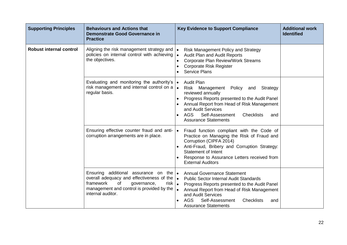| <b>Supporting Principles</b>   | <b>Behaviours and Actions that</b><br><b>Demonstrate Good Governance in</b><br><b>Practice</b>                                                                                                                                          | <b>Key Evidence to Support Compliance</b>                                                                                                                                                                                                                                                            | <b>Additional work</b><br><b>Identified</b> |
|--------------------------------|-----------------------------------------------------------------------------------------------------------------------------------------------------------------------------------------------------------------------------------------|------------------------------------------------------------------------------------------------------------------------------------------------------------------------------------------------------------------------------------------------------------------------------------------------------|---------------------------------------------|
| <b>Robust internal control</b> | Aligning the risk management strategy and<br>policies on internal control with achieving<br>the objectives.                                                                                                                             | <b>Risk Management Policy and Strategy</b><br>Audit Plan and Audit Reports<br>$\bullet$<br><b>Corporate Plan Review/Work Streams</b><br><b>Corporate Risk Register</b><br><b>Service Plans</b>                                                                                                       |                                             |
|                                | Evaluating and monitoring the authority's $\cdot$<br>risk management and internal control on a $\cdot$<br>regular basis.                                                                                                                | <b>Audit Plan</b><br>Risk Management Policy<br>Strategy<br>and<br>reviewed annually<br>Progress Reports presented to the Audit Panel<br>Annual Report from Head of Risk Management<br>and Audit Services<br><b>AGS</b><br><b>Checklists</b><br>Self-Assessment<br>and<br><b>Assurance Statements</b> |                                             |
|                                | Ensuring effective counter fraud and anti-<br>corruption arrangements are in place.                                                                                                                                                     | Fraud function compliant with the Code of<br>$\bullet$<br>Practice on Managing the Risk of Fraud and<br>Corruption (CIPFA 2014)<br>Anti-Fraud, Bribery and Corruption Strategy:<br><b>Statement of Intent</b><br>Response to Assurance Letters received from<br><b>External Auditors</b>             |                                             |
|                                | Ensuring additional assurance on the $\bullet$<br>overall adequacy and effectiveness of the $\vert \bullet \vert$<br>framework<br>of<br>governance,<br>risk $\vert$ .<br>management and control is provided by the<br>internal auditor. | <b>Annual Governance Statement</b><br><b>Public Sector Internal Audit Standards</b><br>Progress Reports presented to the Audit Panel<br>Annual Report from Head of Risk Management<br>and Audit Services<br><b>AGS</b><br>Self-Assessment<br><b>Checklists</b><br>and<br><b>Assurance Statements</b> |                                             |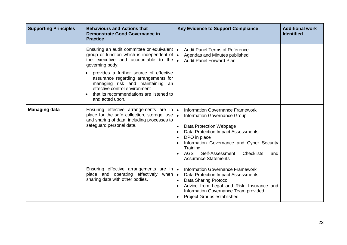| <b>Supporting Principles</b> | <b>Behaviours and Actions that</b><br><b>Demonstrate Good Governance in</b><br><b>Practice</b>                                                                                                                                                                                                                                                                             | <b>Key Evidence to Support Compliance</b>                                                                                                                                                                                                                                                                                                     | <b>Additional work</b><br><b>Identified</b> |
|------------------------------|----------------------------------------------------------------------------------------------------------------------------------------------------------------------------------------------------------------------------------------------------------------------------------------------------------------------------------------------------------------------------|-----------------------------------------------------------------------------------------------------------------------------------------------------------------------------------------------------------------------------------------------------------------------------------------------------------------------------------------------|---------------------------------------------|
|                              | Ensuring an audit committee or equivalent  .<br>group or function which is independent of<br>the executive and accountable to the<br>governing body:<br>provides a further source of effective<br>assurance regarding arrangements for<br>managing risk and maintaining an<br>effective control environment<br>that its recommendations are listened to<br>and acted upon. | <b>Audit Panel Terms of Reference</b><br>$\bullet$<br>Agendas and Minutes published<br><b>Audit Panel Forward Plan</b><br>$\bullet$                                                                                                                                                                                                           |                                             |
| <b>Managing data</b>         | Ensuring effective arrangements are in  .<br>place for the safe collection, storage, use $\bullet$<br>and sharing of data, including processes to<br>safeguard personal data.                                                                                                                                                                                              | <b>Information Governance Framework</b><br><b>Information Governance Group</b><br>Data Protection Webpage<br>$\bullet$<br>Data Protection Impact Assessments<br>DPO in place<br>$\bullet$<br>Information Governance and Cyber Security<br>Training<br>Self-Assessment<br>AGS<br>Checklists<br>$\bullet$<br>and<br><b>Assurance Statements</b> |                                             |
|                              | Ensuring effective arrangements are in $\bullet$<br>place and operating effectively when $\bullet$<br>sharing data with other bodies.                                                                                                                                                                                                                                      | <b>Information Governance Framework</b><br>Data Protection Impact Assessments<br>Data Sharing Protocol<br>$\bullet$<br>Advice from Legal and Risk, Insurance and<br>$\bullet$<br>Information Governance Team provided<br><b>Project Groups established</b>                                                                                    |                                             |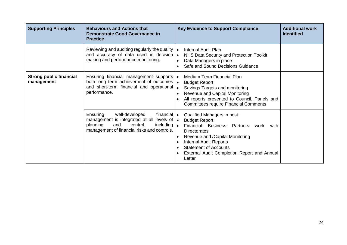| <b>Supporting Principles</b>                 | <b>Behaviours and Actions that</b><br><b>Demonstrate Good Governance in</b><br><b>Practice</b>                                                                                                      | <b>Key Evidence to Support Compliance</b>                                                                                                                                                                                                                                               | <b>Additional work</b><br><b>Identified</b> |
|----------------------------------------------|-----------------------------------------------------------------------------------------------------------------------------------------------------------------------------------------------------|-----------------------------------------------------------------------------------------------------------------------------------------------------------------------------------------------------------------------------------------------------------------------------------------|---------------------------------------------|
|                                              | Reviewing and auditing regularly the quality $\vert \bullet \vert$<br>and accuracy of data used in decision $\bullet$<br>making and performance monitoring.                                         | <b>Internal Audit Plan</b><br>NHS Data Security and Protection Toolkit<br>Data Managers in place<br>Safe and Sound Decisions Guidance                                                                                                                                                   |                                             |
| <b>Strong public financial</b><br>management | Ensuring financial management supports  .<br>both long term achievement of outcomes  .<br>and short-term financial and operational<br>performance.                                                  | <b>Medium Term Financial Plan</b><br><b>Budget Report</b><br>Savings Targets and monitoring<br>$\bullet$<br>Revenue and Capital Monitoring<br>All reports presented to Council, Panels and<br><b>Committees require Financial Comments</b>                                              |                                             |
|                                              | well-developed<br>financial $\bullet$<br>Ensuring<br>management is integrated at all levels of $\bullet$<br>planning<br>and<br>control,<br>including<br>management of financial risks and controls. | Qualified Managers in post.<br><b>Budget Report</b><br>l۰.<br>Financial Business Partners<br>work<br>with<br>Directorates<br>Revenue and / Capital Monitoring<br><b>Internal Audit Reports</b><br><b>Statement of Accounts</b><br>External Audit Completion Report and Annual<br>Letter |                                             |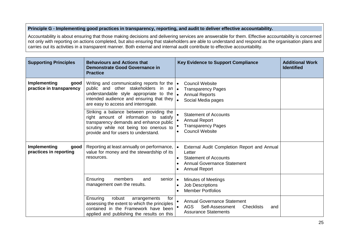## **Principle G - Implementing good practices in transparency, reporting, and audit to deliver effective accountability.**

Accountability is about ensuring that those making decisions and delivering services are answerable for them. Effective accountability is concerned not only with reporting on actions completed, but also ensuring that stakeholders are able to understand and respond as the organisation plans and carries out its activities in a transparent manner. Both external and internal audit contribute to effective accountability.

| <b>Supporting Principles</b>                     | <b>Behaviours and Actions that</b><br><b>Demonstrate Good Governance in</b><br><b>Practice</b>                                                                                                                       | <b>Key Evidence to Support Compliance</b>                                                                                                                                     | <b>Additional Work</b><br><b>Identified</b> |
|--------------------------------------------------|----------------------------------------------------------------------------------------------------------------------------------------------------------------------------------------------------------------------|-------------------------------------------------------------------------------------------------------------------------------------------------------------------------------|---------------------------------------------|
| Implementing<br>good<br>practice in transparency | Writing and communicating reports for the<br>public and other stakeholders in<br>an I•<br>understandable style appropriate to the<br>intended audience and ensuring that they<br>are easy to access and interrogate. | <b>Council Website</b><br>$\bullet$<br><b>Transparency Pages</b><br><b>Annual Reports</b><br>$\bullet$<br>Social Media pages                                                  |                                             |
|                                                  | Striking a balance between providing the<br>right amount of information to satisfy<br>transparency demands and enhance public<br>scrutiny while not being too onerous to<br>provide and for users to understand.     | <b>Statement of Accounts</b><br><b>Annual Report</b><br><b>Transparency Pages</b><br><b>Council Website</b>                                                                   |                                             |
| Implementing<br>good<br>practices in reporting   | Reporting at least annually on performance,<br>value for money and the stewardship of its<br>resources.                                                                                                              | External Audit Completion Report and Annual<br>$\bullet$<br>Letter<br><b>Statement of Accounts</b><br>$\bullet$<br><b>Annual Governance Statement</b><br><b>Annual Report</b> |                                             |
|                                                  | Ensuring<br>members<br>senior $\vert \bullet \vert$<br>and<br>management own the results.                                                                                                                            | <b>Minutes of Meetings</b><br><b>Job Descriptions</b><br>$\bullet$<br><b>Member Portfolios</b>                                                                                |                                             |
|                                                  | Ensuring<br>robust<br>for<br>arrangements<br>assessing the extent to which the principles<br>contained in the Framework have been<br>applied and publishing the results on this                                      | <b>Annual Governance Statement</b><br>AGS<br>Self-Assessment<br><b>Checklists</b><br>and<br><b>Assurance Statements</b>                                                       |                                             |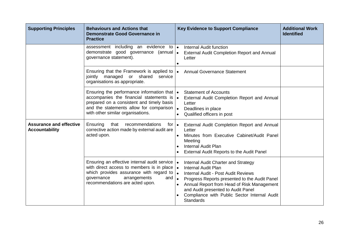| <b>Supporting Principles</b>                            | <b>Behaviours and Actions that</b><br><b>Demonstrate Good Governance in</b><br><b>Practice</b>                                                                                                                                                  | <b>Key Evidence to Support Compliance</b>                                                                                                                                                                                                                                                                                                                             | <b>Additional Work</b><br><b>Identified</b> |
|---------------------------------------------------------|-------------------------------------------------------------------------------------------------------------------------------------------------------------------------------------------------------------------------------------------------|-----------------------------------------------------------------------------------------------------------------------------------------------------------------------------------------------------------------------------------------------------------------------------------------------------------------------------------------------------------------------|---------------------------------------------|
|                                                         | assessment including an evidence<br>to l∙<br>demonstrate good governance (annual .<br>governance statement).                                                                                                                                    | <b>Internal Audit function</b><br><b>External Audit Completion Report and Annual</b><br>Letter<br>$\bullet$                                                                                                                                                                                                                                                           |                                             |
|                                                         | Ensuring that the Framework is applied to $\cdot$<br>jointly managed or shared<br>service<br>organisations as appropriate.                                                                                                                      | <b>Annual Governance Statement</b>                                                                                                                                                                                                                                                                                                                                    |                                             |
|                                                         | Ensuring the performance information that $\cdot$<br>accompanies the financial statements is<br>prepared on a consistent and timely basis<br>and the statements allow for comparison $\vert \bullet \vert$<br>with other similar organisations. | <b>Statement of Accounts</b><br>$\bullet$<br>External Audit Completion Report and Annual<br>Letter<br>Deadlines in place<br>Qualified officers in post<br>$\bullet$                                                                                                                                                                                                   |                                             |
| <b>Assurance and effective</b><br><b>Accountability</b> | Ensuring<br>that<br>recommendations<br>for $\bullet$<br>corrective action made by external audit are<br>acted upon.                                                                                                                             | External Audit Completion Report and Annual<br>Letter<br>Minutes from Executive Cabinet/Audit Panel<br>$\bullet$<br>Meeting<br><b>Internal Audit Plan</b><br>$\bullet$<br>External Audit Reports to the Audit Panel                                                                                                                                                   |                                             |
|                                                         | Ensuring an effective internal audit service $\cdot$<br>with direct access to members is in place<br>which provides assurance with regard to<br>governance<br>arrangements<br>and<br>recommendations are acted upon.                            | Internal Audit Charter and Strategy<br><b>Internal Audit Plan</b><br>$\bullet$<br>$\bullet$<br>Internal Audit - Post Audit Reviews<br>$\bullet$<br>Progress Reports presented to the Audit Panel<br>Annual Report from Head of Risk Management<br>$\bullet$<br>and Audit presented to Audit Panel<br>Compliance with Public Sector Internal Audit<br><b>Standards</b> |                                             |